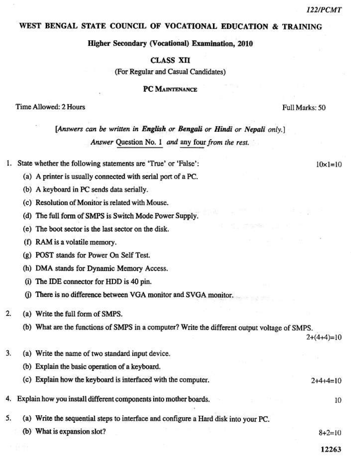$10 \times 1 = 10$ 

#### WEST BENGAL STATE COUNCIL OF VOCATIONAL EDUCATION & TRAINING

Higher Secondary (Vocational) Examination, 2010

**CLASS XII** 

(For Regular and Casual Candidates)

**PC MAINTENANCE** 

Time Allowed: 2 Hours

Full Marks: 50

[Answers can be written in English or Bengali or Hindi or Nepali only.] Answer Question No. 1 and any four from the rest.

- State whether the following statements are 'True' or 'False': 1.
	- (a) A printer is usually connected with serial port of a PC.
	- (b) A keyboard in PC sends data serially.
	- (c) Resolution of Monitor is related with Mouse.
	- (d) The full form of SMPS is Switch Mode Power Supply.
	- (e) The boot sector is the last sector on the disk.
	- (f) RAM is a volatile memory.
	- (g) POST stands for Power On Self Test.
	- (h) DMA stands for Dynamic Memory Access.
	- (i) The IDE connector for HDD is 40 pin.
	- (j) There is no difference between VGA monitor and SVGA monitor.
- $\overline{2}$ (a) Write the full form of SMPS.
	- (b) What are the functions of SMPS in a computer? Write the different output voltage of SMPS.

 $2+(4+4)=10$ 

- 3. (a) Write the name of two standard input device.
	- (b) Explain the basic operation of a keyboard.

| (c) Explain how the keyboard is interfaced with the computer. | $2+4+4=10$ |
|---------------------------------------------------------------|------------|
|                                                               |            |

Explain how you install different components into mother boards. 4.

- 5. (a) Write the sequential steps to interface and configure a Hard disk into your PC.
	- (b) What is expansion slot?

 $8 + 2 = 10$ 

10

12263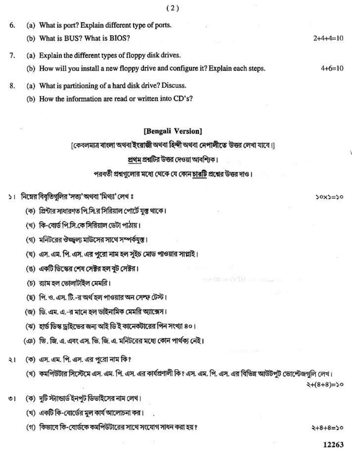| 6. | (a) What is port? Explain different type of ports.                                |            |
|----|-----------------------------------------------------------------------------------|------------|
|    | (b) What is BUS? What is BIOS?                                                    | $2+4+4=10$ |
|    | (a) Explain the different types of floppy disk drives.                            |            |
|    | (b) How will you install a new floppy drive and configure it? Explain each steps. | $4+6=10$   |
|    |                                                                                   |            |

- (a) What is partitioning of a hard disk drive? Discuss. 8.
	- (b) How the information are read or written into CD's?

#### [Bengali Version]

## [কেবলমাত্র বাংলা অথবা ইংরাজী অথবা হিন্দী অথবা নেপালীতে উত্তর লেখা যাবে।]

# প্রথম প্রশ্নটির উত্তর দেওয়া আবশ্যিক।

## পরবর্তী প্রশ্নগুলোর মধ্যে থেকে যে কোন চারটি প্রশ্নের উত্তর দাও।

- ১। নিম্নের বিবৃতিগুলির 'সত্য' অথবা 'মিথ্যা' লেখ ঃ
	- (ক) প্রিন্টার সাধারণত পি.সি.র সিরিয়াল পোর্টে যুক্ত থাকে।
	- (খ) কি-বোর্ড পি.সি.কে সিরিয়াল ডেটা পাঠায়।
	- (গ) মনিটরের ঔজ্জ্বল্য মাউসের সাথে সম্পর্কযুক্ত।
	- (ঘ) এস. এম. পি. এস. এর পুরো নাম হল সুইচ মোড পাওয়ার সাপ্লাই।
	- (ঙ) একটি ডিস্কের শেষ সেক্টর হল বুট সেক্টর।
	- (চ) র্যাম হল ভোলটিইল মেমরি।
	- (ছ) পি. ও. এস. টি.-র অর্থ হল পাওয়ার অন সেম্ফ টেস্ট।
	- (জ) ডি. এম. এ.-র মানে হল ডাইনামিক মেমরি অ্যাক্সেস।
	- (ঝ) হার্ড ডিস্ক ড্রাইন্ডের জন্য আই ডি ই কানেকটারের পিন সংখ্যা ৪০।
	- (ঞ) ভি. জি. এ. এবং এস. ভি. জি. এ. মনিটরের মধ্যে কোন পার্থক্য নেই।
- (ক) এস. এম. পি. এস. এর পুরো নাম কি? ২।
	- (খ) কমপিউটার সিস্টেমে এস. এম. পি. এস. এর কার্যপ্রণালী কি? এস. এম. পি. এস. এর বিভিন্ন আউটপুট ভোন্টেজগুলি লেখ।

**HARBINA CITE!** LASSED

 $\xi + (8+8) = 50$ 

 $30x3=50$ 

- (ক) দুটি স্ট্যান্ডার্ড ইনপুট ডিভাইসের নাম লেখ। ৩।
	- (খ) একটি কি-বোর্ডের মুল কার্য আলোচনা কর।
	- (গ) কিভাবে কি-বোর্ডকে কমপিউটারের সাথে সংযোগ সাধন করা হয় ?

 $2 + 8 + 8 = 50$ 

12263